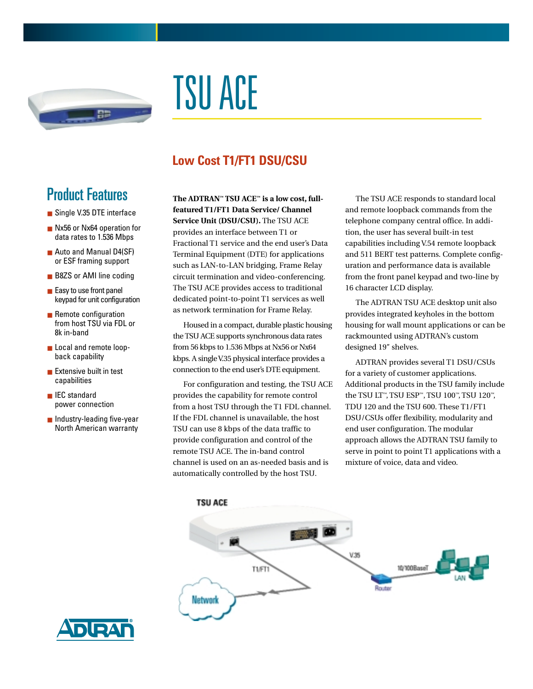

# TSU ACE

## **Low Cost T1/FT1 DSU/CSU**

## Product Features

- Single V.35 DTE interface
- Nx56 or Nx64 operation for data rates to 1.536 Mbps
- Auto and Manual D4(SF) or ESF framing support
- B8ZS or AMI line coding
- Easy to use front panel keypad for unit configuration
- Remote configuration from host TSU via FDL or 8k in-band
- Local and remote loopback capability
- Extensive built in test capabilities
- IEC standard power connection
- Industry-leading five-year North American warranty

**The ADTRAN™ TSU ACE™ is a low cost, fullfeatured T1/FT1 Data Service/ Channel Service Unit (DSU/CSU).** The TSU ACE provides an interface between T1 or Fractional T1 service and the end user's Data Terminal Equipment (DTE) for applications such as LAN-to-LAN bridging, Frame Relay circuit termination and video-conferencing. The TSU ACE provides access to traditional dedicated point-to-point T1 services as well as network termination for Frame Relay.

Housed in a compact, durable plastic housing the TSU ACE supports synchronous data rates from 56 kbps to 1.536 Mbps at Nx56 or Nx64 kbps. A single V.35 physical interface provides a connection to the end user's DTE equipment.

For configuration and testing, the TSU ACE provides the capability for remote control from a host TSU through the T1 FDL channel. If the FDL channel is unavailable, the host TSU can use 8 kbps of the data traffic to provide configuration and control of the remote TSU ACE. The in-band control channel is used on an as-needed basis and is automatically controlled by the host TSU.

The TSU ACE responds to standard local and remote loopback commands from the telephone company central office. In addition, the user has several built-in test capabilities including V.54 remote loopback and 511 BERT test patterns. Complete configuration and performance data is available from the front panel keypad and two-line by 16 character LCD display.

The ADTRAN TSU ACE desktop unit also provides integrated keyholes in the bottom housing for wall mount applications or can be rackmounted using ADTRAN's custom designed 19" shelves.

ADTRAN provides several T1 DSU/CSUs for a variety of customer applications. Additional products in the TSU family include the TSU LT™, TSU ESP™, TSU 100™, TSU 120™, TDU 120 and the TSU 600. These T1/FT1 DSU/CSUs offer flexibility, modularity and end user configuration. The modular approach allows the ADTRAN TSU family to serve in point to point T1 applications with a mixture of voice, data and video.